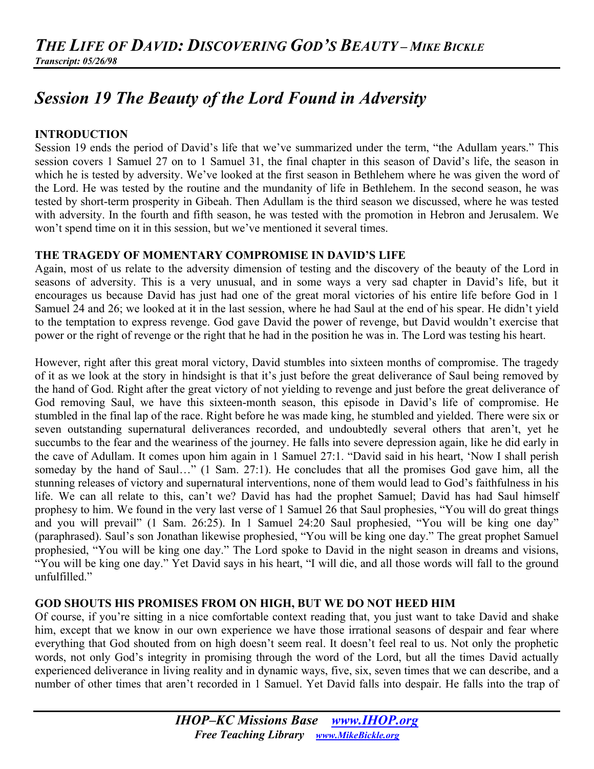# *Session 19 The Beauty of the Lord Found in Adversity*

## **INTRODUCTION**

Session 19 ends the period of David's life that we've summarized under the term, "the Adullam years." This session covers 1 Samuel 27 on to 1 Samuel 31, the final chapter in this season of David's life, the season in which he is tested by adversity. We've looked at the first season in Bethlehem where he was given the word of the Lord. He was tested by the routine and the mundanity of life in Bethlehem. In the second season, he was tested by short-term prosperity in Gibeah. Then Adullam is the third season we discussed, where he was tested with adversity. In the fourth and fifth season, he was tested with the promotion in Hebron and Jerusalem. We won't spend time on it in this session, but we've mentioned it several times.

## **THE TRAGEDY OF MOMENTARY COMPROMISE IN DAVID'S LIFE**

Again, most of us relate to the adversity dimension of testing and the discovery of the beauty of the Lord in seasons of adversity. This is a very unusual, and in some ways a very sad chapter in David's life, but it encourages us because David has just had one of the great moral victories of his entire life before God in 1 Samuel 24 and 26; we looked at it in the last session, where he had Saul at the end of his spear. He didn't yield to the temptation to express revenge. God gave David the power of revenge, but David wouldn't exercise that power or the right of revenge or the right that he had in the position he was in. The Lord was testing his heart.

However, right after this great moral victory, David stumbles into sixteen months of compromise. The tragedy of it as we look at the story in hindsight is that it's just before the great deliverance of Saul being removed by the hand of God. Right after the great victory of not yielding to revenge and just before the great deliverance of God removing Saul, we have this sixteen-month season, this episode in David's life of compromise. He stumbled in the final lap of the race. Right before he was made king, he stumbled and yielded. There were six or seven outstanding supernatural deliverances recorded, and undoubtedly several others that aren't, yet he succumbs to the fear and the weariness of the journey. He falls into severe depression again, like he did early in the cave of Adullam. It comes upon him again in 1 Samuel 27:1. "David said in his heart, 'Now I shall perish someday by the hand of Saul..." (1 Sam. 27:1). He concludes that all the promises God gave him, all the stunning releases of victory and supernatural interventions, none of them would lead to God's faithfulness in his life. We can all relate to this, can't we? David has had the prophet Samuel; David has had Saul himself prophesy to him. We found in the very last verse of 1 Samuel 26 that Saul prophesies, "You will do great things and you will prevail" (1 Sam. 26:25). In 1 Samuel 24:20 Saul prophesied, "You will be king one day" (paraphrased). Saul's son Jonathan likewise prophesied, "You will be king one day." The great prophet Samuel prophesied, "You will be king one day." The Lord spoke to David in the night season in dreams and visions, "You will be king one day." Yet David says in his heart, "I will die, and all those words will fall to the ground unfulfilled."

## **GOD SHOUTS HIS PROMISES FROM ON HIGH, BUT WE DO NOT HEED HIM**

Of course, if you're sitting in a nice comfortable context reading that, you just want to take David and shake him, except that we know in our own experience we have those irrational seasons of despair and fear where everything that God shouted from on high doesn't seem real. It doesn't feel real to us. Not only the prophetic words, not only God's integrity in promising through the word of the Lord, but all the times David actually experienced deliverance in living reality and in dynamic ways, five, six, seven times that we can describe, and a number of other times that aren't recorded in 1 Samuel. Yet David falls into despair. He falls into the trap of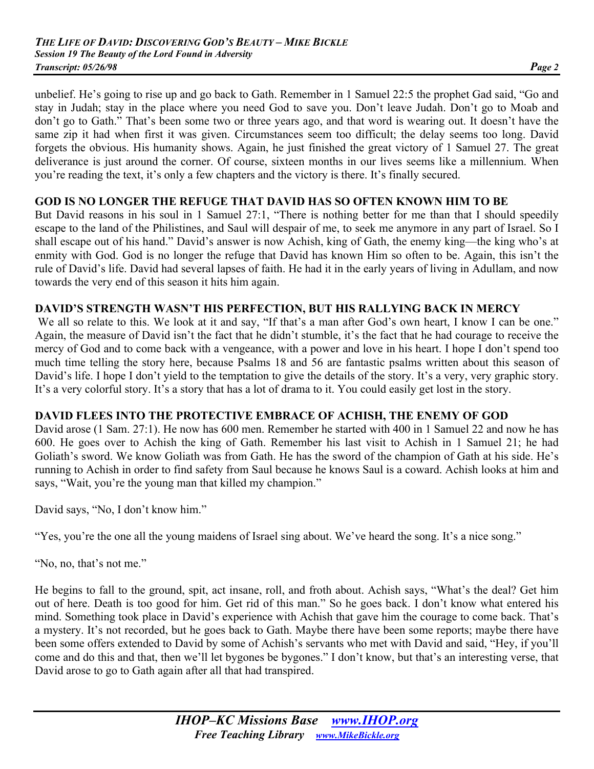unbelief. He's going to rise up and go back to Gath. Remember in 1 Samuel 22:5 the prophet Gad said, "Go and stay in Judah; stay in the place where you need God to save you. Don't leave Judah. Don't go to Moab and don't go to Gath." That's been some two or three years ago, and that word is wearing out. It doesn't have the same zip it had when first it was given. Circumstances seem too difficult; the delay seems too long. David forgets the obvious. His humanity shows. Again, he just finished the great victory of 1 Samuel 27. The great deliverance is just around the corner. Of course, sixteen months in our lives seems like a millennium. When you're reading the text, it's only a few chapters and the victory is there. It's finally secured.

## **GOD IS NO LONGER THE REFUGE THAT DAVID HAS SO OFTEN KNOWN HIM TO BE**

But David reasons in his soul in 1 Samuel 27:1, "There is nothing better for me than that I should speedily escape to the land of the Philistines, and Saul will despair of me, to seek me anymore in any part of Israel. So I shall escape out of his hand." David's answer is now Achish, king of Gath, the enemy king—the king who's at enmity with God. God is no longer the refuge that David has known Him so often to be. Again, this isn't the rule of David's life. David had several lapses of faith. He had it in the early years of living in Adullam, and now towards the very end of this season it hits him again.

## **DAVID'S STRENGTH WASN'T HIS PERFECTION, BUT HIS RALLYING BACK IN MERCY**

We all so relate to this. We look at it and say, "If that's a man after God's own heart, I know I can be one." Again, the measure of David isn't the fact that he didn't stumble, it's the fact that he had courage to receive the mercy of God and to come back with a vengeance, with a power and love in his heart. I hope I don't spend too much time telling the story here, because Psalms 18 and 56 are fantastic psalms written about this season of David's life. I hope I don't yield to the temptation to give the details of the story. It's a very, very graphic story. It's a very colorful story. It's a story that has a lot of drama to it. You could easily get lost in the story.

## **DAVID FLEES INTO THE PROTECTIVE EMBRACE OF ACHISH, THE ENEMY OF GOD**

David arose (1 Sam. 27:1). He now has 600 men. Remember he started with 400 in 1 Samuel 22 and now he has 600. He goes over to Achish the king of Gath. Remember his last visit to Achish in 1 Samuel 21; he had Goliath's sword. We know Goliath was from Gath. He has the sword of the champion of Gath at his side. He's running to Achish in order to find safety from Saul because he knows Saul is a coward. Achish looks at him and says, "Wait, you're the young man that killed my champion."

David says, "No, I don't know him."

"Yes, you're the one all the young maidens of Israel sing about. We've heard the song. It's a nice song."

"No, no, that's not me."

He begins to fall to the ground, spit, act insane, roll, and froth about. Achish says, "What's the deal? Get him out of here. Death is too good for him. Get rid of this man." So he goes back. I don't know what entered his mind. Something took place in David's experience with Achish that gave him the courage to come back. That's a mystery. It's not recorded, but he goes back to Gath. Maybe there have been some reports; maybe there have been some offers extended to David by some of Achish's servants who met with David and said, "Hey, if you'll come and do this and that, then we'll let bygones be bygones." I don't know, but that's an interesting verse, that David arose to go to Gath again after all that had transpired.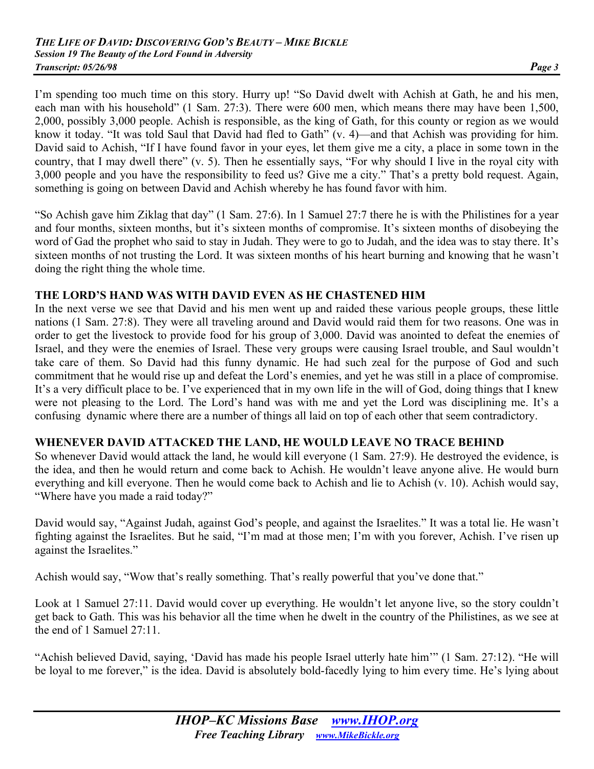I'm spending too much time on this story. Hurry up! "So David dwelt with Achish at Gath, he and his men, each man with his household" (1 Sam. 27:3). There were 600 men, which means there may have been 1,500, 2,000, possibly 3,000 people. Achish is responsible, as the king of Gath, for this county or region as we would know it today. "It was told Saul that David had fled to Gath" (v. 4)—and that Achish was providing for him. David said to Achish, "If I have found favor in your eyes, let them give me a city, a place in some town in the country, that I may dwell there" (v. 5). Then he essentially says, "For why should I live in the royal city with 3,000 people and you have the responsibility to feed us? Give me a city." That's a pretty bold request. Again, something is going on between David and Achish whereby he has found favor with him.

"So Achish gave him Ziklag that day" (1 Sam. 27:6). In 1 Samuel 27:7 there he is with the Philistines for a year and four months, sixteen months, but it's sixteen months of compromise. It's sixteen months of disobeying the word of Gad the prophet who said to stay in Judah. They were to go to Judah, and the idea was to stay there. It's sixteen months of not trusting the Lord. It was sixteen months of his heart burning and knowing that he wasn't doing the right thing the whole time.

#### **THE LORD'S HAND WAS WITH DAVID EVEN AS HE CHASTENED HIM**

In the next verse we see that David and his men went up and raided these various people groups, these little nations (1 Sam. 27:8). They were all traveling around and David would raid them for two reasons. One was in order to get the livestock to provide food for his group of 3,000. David was anointed to defeat the enemies of Israel, and they were the enemies of Israel. These very groups were causing Israel trouble, and Saul wouldn't take care of them. So David had this funny dynamic. He had such zeal for the purpose of God and such commitment that he would rise up and defeat the Lord's enemies, and yet he was still in a place of compromise. It's a very difficult place to be. I've experienced that in my own life in the will of God, doing things that I knew were not pleasing to the Lord. The Lord's hand was with me and yet the Lord was disciplining me. It's a confusing dynamic where there are a number of things all laid on top of each other that seem contradictory.

#### **WHENEVER DAVID ATTACKED THE LAND, HE WOULD LEAVE NO TRACE BEHIND**

So whenever David would attack the land, he would kill everyone (1 Sam. 27:9). He destroyed the evidence, is the idea, and then he would return and come back to Achish. He wouldn't leave anyone alive. He would burn everything and kill everyone. Then he would come back to Achish and lie to Achish (v. 10). Achish would say, "Where have you made a raid today?"

David would say, "Against Judah, against God's people, and against the Israelites." It was a total lie. He wasn't fighting against the Israelites. But he said, "I'm mad at those men; I'm with you forever, Achish. I've risen up against the Israelites."

Achish would say, "Wow that's really something. That's really powerful that you've done that."

Look at 1 Samuel 27:11. David would cover up everything. He wouldn't let anyone live, so the story couldn't get back to Gath. This was his behavior all the time when he dwelt in the country of the Philistines, as we see at the end of 1 Samuel 27:11.

"Achish believed David, saying, 'David has made his people Israel utterly hate him'" (1 Sam. 27:12). "He will be loyal to me forever," is the idea. David is absolutely bold-facedly lying to him every time. He's lying about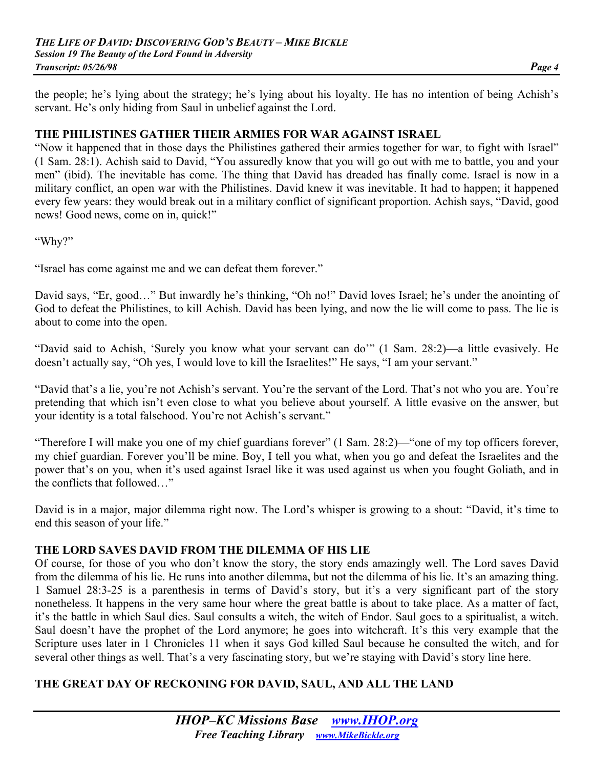the people; he's lying about the strategy; he's lying about his loyalty. He has no intention of being Achish's servant. He's only hiding from Saul in unbelief against the Lord.

## **THE PHILISTINES GATHER THEIR ARMIES FOR WAR AGAINST ISRAEL**

"Now it happened that in those days the Philistines gathered their armies together for war, to fight with Israel" (1 Sam. 28:1). Achish said to David, "You assuredly know that you will go out with me to battle, you and your men" (ibid). The inevitable has come. The thing that David has dreaded has finally come. Israel is now in a military conflict, an open war with the Philistines. David knew it was inevitable. It had to happen; it happened every few years: they would break out in a military conflict of significant proportion. Achish says, "David, good news! Good news, come on in, quick!"

"Why?"

"Israel has come against me and we can defeat them forever."

David says, "Er, good…" But inwardly he's thinking, "Oh no!" David loves Israel; he's under the anointing of God to defeat the Philistines, to kill Achish. David has been lying, and now the lie will come to pass. The lie is about to come into the open.

"David said to Achish, 'Surely you know what your servant can do'" (1 Sam. 28:2)—a little evasively. He doesn't actually say, "Oh yes, I would love to kill the Israelites!" He says, "I am your servant."

"David that's a lie, you're not Achish's servant. You're the servant of the Lord. That's not who you are. You're pretending that which isn't even close to what you believe about yourself. A little evasive on the answer, but your identity is a total falsehood. You're not Achish's servant."

"Therefore I will make you one of my chief guardians forever" (1 Sam. 28:2)—"one of my top officers forever, my chief guardian. Forever you'll be mine. Boy, I tell you what, when you go and defeat the Israelites and the power that's on you, when it's used against Israel like it was used against us when you fought Goliath, and in the conflicts that followed…"

David is in a major, major dilemma right now. The Lord's whisper is growing to a shout: "David, it's time to end this season of your life."

## **THE LORD SAVES DAVID FROM THE DILEMMA OF HIS LIE**

Of course, for those of you who don't know the story, the story ends amazingly well. The Lord saves David from the dilemma of his lie. He runs into another dilemma, but not the dilemma of his lie. It's an amazing thing. 1 Samuel 28:3-25 is a parenthesis in terms of David's story, but it's a very significant part of the story nonetheless. It happens in the very same hour where the great battle is about to take place. As a matter of fact, it's the battle in which Saul dies. Saul consults a witch, the witch of Endor. Saul goes to a spiritualist, a witch. Saul doesn't have the prophet of the Lord anymore; he goes into witchcraft. It's this very example that the Scripture uses later in 1 Chronicles 11 when it says God killed Saul because he consulted the witch, and for several other things as well. That's a very fascinating story, but we're staying with David's story line here.

# **THE GREAT DAY OF RECKONING FOR DAVID, SAUL, AND ALL THE LAND**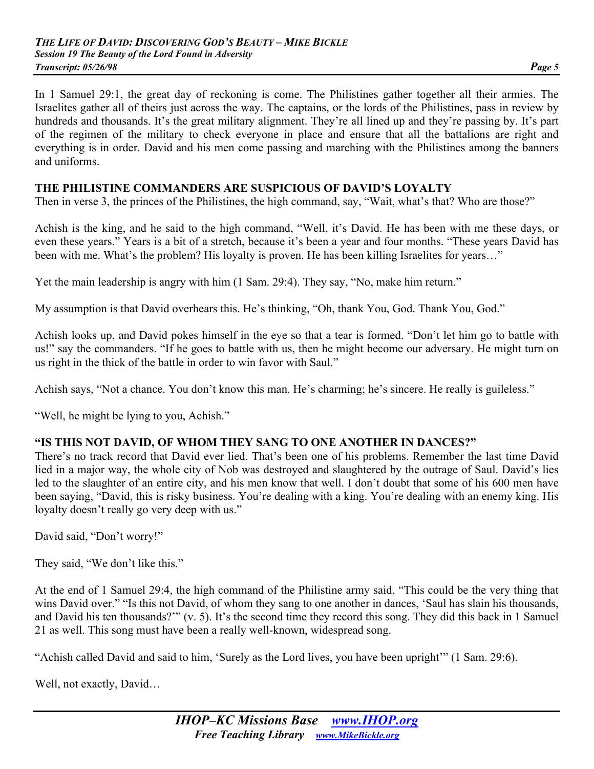In 1 Samuel 29:1, the great day of reckoning is come. The Philistines gather together all their armies. The Israelites gather all of theirs just across the way. The captains, or the lords of the Philistines, pass in review by hundreds and thousands. It's the great military alignment. They're all lined up and they're passing by. It's part of the regimen of the military to check everyone in place and ensure that all the battalions are right and everything is in order. David and his men come passing and marching with the Philistines among the banners and uniforms.

#### **THE PHILISTINE COMMANDERS ARE SUSPICIOUS OF DAVID'S LOYALTY**

Then in verse 3, the princes of the Philistines, the high command, say, "Wait, what's that? Who are those?"

Achish is the king, and he said to the high command, "Well, it's David. He has been with me these days, or even these years." Years is a bit of a stretch, because it's been a year and four months. "These years David has been with me. What's the problem? His loyalty is proven. He has been killing Israelites for years..."

Yet the main leadership is angry with him (1 Sam. 29:4). They say, "No, make him return."

My assumption is that David overhears this. He's thinking, "Oh, thank You, God. Thank You, God."

Achish looks up, and David pokes himself in the eye so that a tear is formed. "Don't let him go to battle with us!" say the commanders. "If he goes to battle with us, then he might become our adversary. He might turn on us right in the thick of the battle in order to win favor with Saul."

Achish says, "Not a chance. You don't know this man. He's charming; he's sincere. He really is guileless."

"Well, he might be lying to you, Achish."

#### **"IS THIS NOT DAVID, OF WHOM THEY SANG TO ONE ANOTHER IN DANCES?"**

There's no track record that David ever lied. That's been one of his problems. Remember the last time David lied in a major way, the whole city of Nob was destroyed and slaughtered by the outrage of Saul. David's lies led to the slaughter of an entire city, and his men know that well. I don't doubt that some of his 600 men have been saying, "David, this is risky business. You're dealing with a king. You're dealing with an enemy king. His loyalty doesn't really go very deep with us."

David said, "Don't worry!"

They said, "We don't like this."

At the end of 1 Samuel 29:4, the high command of the Philistine army said, "This could be the very thing that wins David over." "Is this not David, of whom they sang to one another in dances, 'Saul has slain his thousands, and David his ten thousands?'" (v. 5). It's the second time they record this song. They did this back in 1 Samuel 21 as well. This song must have been a really well-known, widespread song.

"Achish called David and said to him, 'Surely as the Lord lives, you have been upright'" (1 Sam. 29:6).

Well, not exactly, David...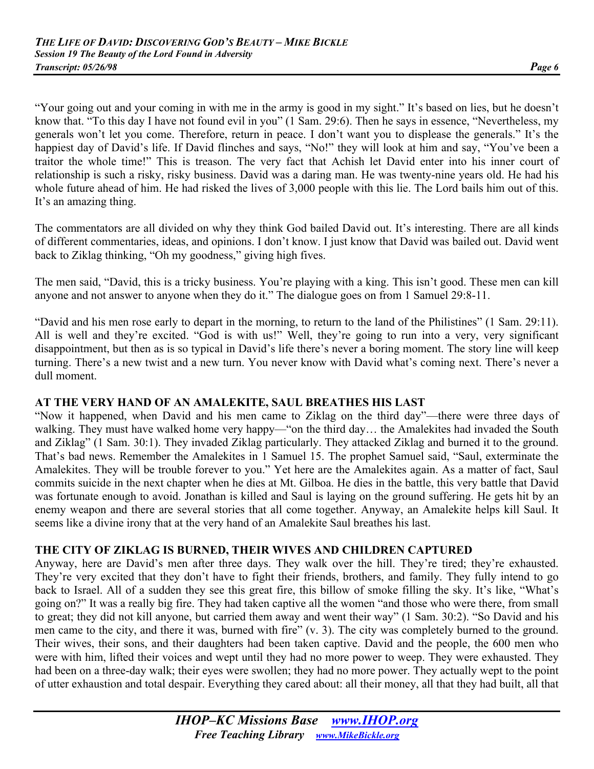"Your going out and your coming in with me in the army is good in my sight." It's based on lies, but he doesn't know that. "To this day I have not found evil in you" (1 Sam. 29:6). Then he says in essence, "Nevertheless, my generals won't let you come. Therefore, return in peace. I don't want you to displease the generals." It's the happiest day of David's life. If David flinches and says, "No!" they will look at him and say, "You've been a traitor the whole time!" This is treason. The very fact that Achish let David enter into his inner court of relationship is such a risky, risky business. David was a daring man. He was twenty-nine years old. He had his whole future ahead of him. He had risked the lives of 3,000 people with this lie. The Lord bails him out of this. It's an amazing thing.

The commentators are all divided on why they think God bailed David out. It's interesting. There are all kinds of different commentaries, ideas, and opinions. I don't know. I just know that David was bailed out. David went back to Ziklag thinking, "Oh my goodness," giving high fives.

The men said, "David, this is a tricky business. You're playing with a king. This isn't good. These men can kill anyone and not answer to anyone when they do it." The dialogue goes on from 1 Samuel 29:8-11.

"David and his men rose early to depart in the morning, to return to the land of the Philistines" (1 Sam. 29:11). All is well and they're excited. "God is with us!" Well, they're going to run into a very, very significant disappointment, but then as is so typical in David's life there's never a boring moment. The story line will keep turning. There's a new twist and a new turn. You never know with David what's coming next. There's never a dull moment.

## **AT THE VERY HAND OF AN AMALEKITE, SAUL BREATHES HIS LAST**

"Now it happened, when David and his men came to Ziklag on the third day"—there were three days of walking. They must have walked home very happy—"on the third day... the Amalekites had invaded the South and Ziklag" (1 Sam. 30:1). They invaded Ziklag particularly. They attacked Ziklag and burned it to the ground. That's bad news. Remember the Amalekites in 1 Samuel 15. The prophet Samuel said, "Saul, exterminate the Amalekites. They will be trouble forever to you." Yet here are the Amalekites again. As a matter of fact, Saul commits suicide in the next chapter when he dies at Mt. Gilboa. He dies in the battle, this very battle that David was fortunate enough to avoid. Jonathan is killed and Saul is laying on the ground suffering. He gets hit by an enemy weapon and there are several stories that all come together. Anyway, an Amalekite helps kill Saul. It seems like a divine irony that at the very hand of an Amalekite Saul breathes his last.

## **THE CITY OF ZIKLAG IS BURNED, THEIR WIVES AND CHILDREN CAPTURED**

Anyway, here are David's men after three days. They walk over the hill. They're tired; they're exhausted. They're very excited that they don't have to fight their friends, brothers, and family. They fully intend to go back to Israel. All of a sudden they see this great fire, this billow of smoke filling the sky. It's like, "What's going on?" It was a really big fire. They had taken captive all the women "and those who were there, from small to great; they did not kill anyone, but carried them away and went their way" (1 Sam. 30:2). "So David and his men came to the city, and there it was, burned with fire" (v. 3). The city was completely burned to the ground. Their wives, their sons, and their daughters had been taken captive. David and the people, the 600 men who were with him, lifted their voices and wept until they had no more power to weep. They were exhausted. They had been on a three-day walk; their eyes were swollen; they had no more power. They actually wept to the point of utter exhaustion and total despair. Everything they cared about: all their money, all that they had built, all that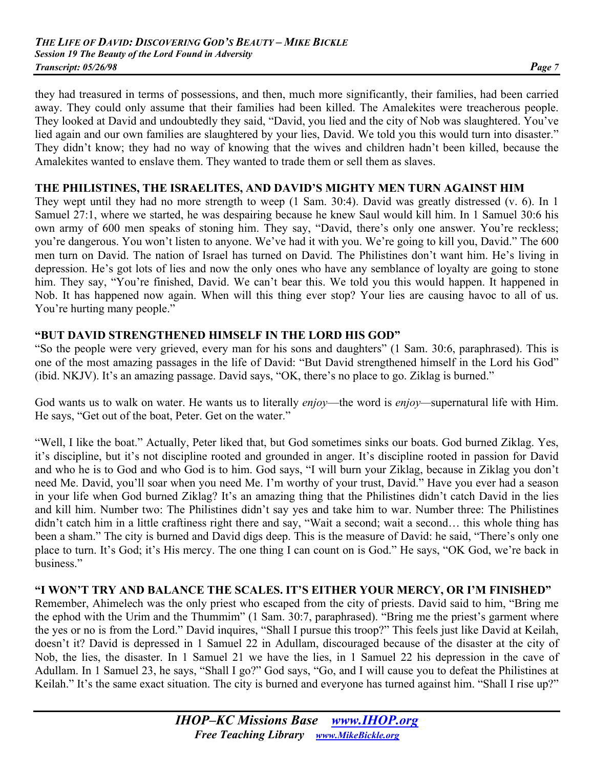they had treasured in terms of possessions, and then, much more significantly, their families, had been carried away. They could only assume that their families had been killed. The Amalekites were treacherous people. They looked at David and undoubtedly they said, "David, you lied and the city of Nob was slaughtered. You've lied again and our own families are slaughtered by your lies, David. We told you this would turn into disaster." They didn't know; they had no way of knowing that the wives and children hadn't been killed, because the Amalekites wanted to enslave them. They wanted to trade them or sell them as slaves.

#### **THE PHILISTINES, THE ISRAELITES, AND DAVID'S MIGHTY MEN TURN AGAINST HIM**

They wept until they had no more strength to weep (1 Sam. 30:4). David was greatly distressed (v. 6). In 1 Samuel 27:1, where we started, he was despairing because he knew Saul would kill him. In 1 Samuel 30:6 his own army of 600 men speaks of stoning him. They say, "David, there's only one answer. You're reckless; you're dangerous. You won't listen to anyone. We've had it with you. We're going to kill you, David." The 600 men turn on David. The nation of Israel has turned on David. The Philistines don't want him. He's living in depression. He's got lots of lies and now the only ones who have any semblance of loyalty are going to stone him. They say, "You're finished, David. We can't bear this. We told you this would happen. It happened in Nob. It has happened now again. When will this thing ever stop? Your lies are causing havoc to all of us. You're hurting many people."

#### **"BUT DAVID STRENGTHENED HIMSELF IN THE LORD HIS GOD"**

"So the people were very grieved, every man for his sons and daughters" (1 Sam. 30:6, paraphrased). This is one of the most amazing passages in the life of David: "But David strengthened himself in the Lord his God" (ibid. NKJV). It's an amazing passage. David says, "OK, there's no place to go. Ziklag is burned."

God wants us to walk on water. He wants us to literally *enjoy*—the word is *enjoy—*supernatural life with Him. He says, "Get out of the boat, Peter. Get on the water."

"Well, I like the boat." Actually, Peter liked that, but God sometimes sinks our boats. God burned Ziklag. Yes, it's discipline, but it's not discipline rooted and grounded in anger. It's discipline rooted in passion for David and who he is to God and who God is to him. God says, "I will burn your Ziklag, because in Ziklag you don't need Me. David, you'll soar when you need Me. I'm worthy of your trust, David." Have you ever had a season in your life when God burned Ziklag? It's an amazing thing that the Philistines didn't catch David in the lies and kill him. Number two: The Philistines didn't say yes and take him to war. Number three: The Philistines didn't catch him in a little craftiness right there and say, "Wait a second; wait a second... this whole thing has been a sham." The city is burned and David digs deep. This is the measure of David: he said, "There's only one place to turn. It's God; it's His mercy. The one thing I can count on is God." He says, "OK God, we're back in business."

#### **"I WON'T TRY AND BALANCE THE SCALES. IT'S EITHER YOUR MERCY, OR I'M FINISHED"**

Remember, Ahimelech was the only priest who escaped from the city of priests. David said to him, "Bring me the ephod with the Urim and the Thummim" (1 Sam. 30:7, paraphrased). "Bring me the priest's garment where the yes or no is from the Lord." David inquires, "Shall I pursue this troop?" This feels just like David at Keilah, doesn't it? David is depressed in 1 Samuel 22 in Adullam, discouraged because of the disaster at the city of Nob, the lies, the disaster. In 1 Samuel 21 we have the lies, in 1 Samuel 22 his depression in the cave of Adullam. In 1 Samuel 23, he says, "Shall I go?" God says, "Go, and I will cause you to defeat the Philistines at Keilah." It's the same exact situation. The city is burned and everyone has turned against him. "Shall I rise up?"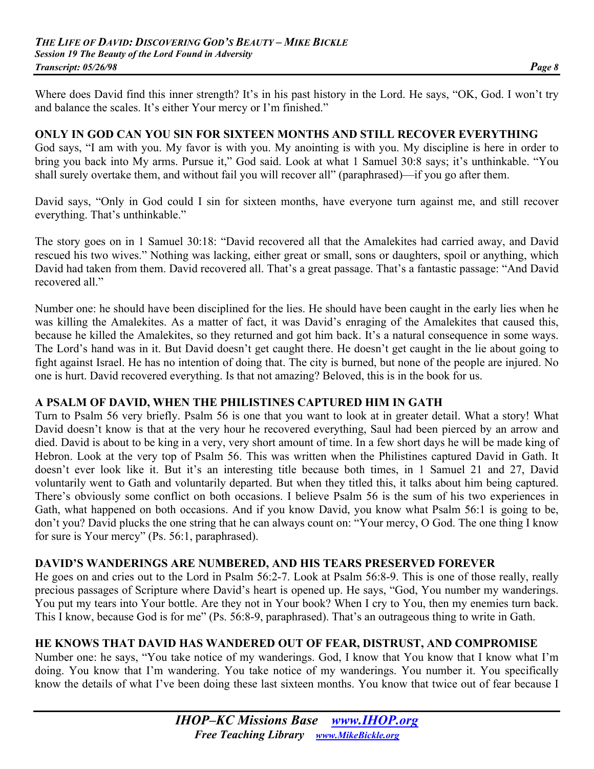Where does David find this inner strength? It's in his past history in the Lord. He says, "OK, God. I won't try and balance the scales. It's either Your mercy or I'm finished."

#### **ONLY IN GOD CAN YOU SIN FOR SIXTEEN MONTHS AND STILL RECOVER EVERYTHING**

God says, "I am with you. My favor is with you. My anointing is with you. My discipline is here in order to bring you back into My arms. Pursue it," God said. Look at what 1 Samuel 30:8 says; it's unthinkable. "You shall surely overtake them, and without fail you will recover all" (paraphrased)—if you go after them.

David says, "Only in God could I sin for sixteen months, have everyone turn against me, and still recover everything. That's unthinkable."

The story goes on in 1 Samuel 30:18: "David recovered all that the Amalekites had carried away, and David rescued his two wives." Nothing was lacking, either great or small, sons or daughters, spoil or anything, which David had taken from them. David recovered all. That's a great passage. That's a fantastic passage: "And David recovered all."

Number one: he should have been disciplined for the lies. He should have been caught in the early lies when he was killing the Amalekites. As a matter of fact, it was David's enraging of the Amalekites that caused this, because he killed the Amalekites, so they returned and got him back. It's a natural consequence in some ways. The Lord's hand was in it. But David doesn't get caught there. He doesn't get caught in the lie about going to fight against Israel. He has no intention of doing that. The city is burned, but none of the people are injured. No one is hurt. David recovered everything. Is that not amazing? Beloved, this is in the book for us.

#### **A PSALM OF DAVID, WHEN THE PHILISTINES CAPTURED HIM IN GATH**

Turn to Psalm 56 very briefly. Psalm 56 is one that you want to look at in greater detail. What a story! What David doesn't know is that at the very hour he recovered everything, Saul had been pierced by an arrow and died. David is about to be king in a very, very short amount of time. In a few short days he will be made king of Hebron. Look at the very top of Psalm 56. This was written when the Philistines captured David in Gath. It doesn't ever look like it. But it's an interesting title because both times, in 1 Samuel 21 and 27, David voluntarily went to Gath and voluntarily departed. But when they titled this, it talks about him being captured. There's obviously some conflict on both occasions. I believe Psalm 56 is the sum of his two experiences in Gath, what happened on both occasions. And if you know David, you know what Psalm 56:1 is going to be, don't you? David plucks the one string that he can always count on: "Your mercy, O God. The one thing I know for sure is Your mercy" (Ps. 56:1, paraphrased).

## **DAVID'S WANDERINGS ARE NUMBERED, AND HIS TEARS PRESERVED FOREVER**

He goes on and cries out to the Lord in Psalm 56:2-7. Look at Psalm 56:8-9. This is one of those really, really precious passages of Scripture where David's heart is opened up. He says, "God, You number my wanderings. You put my tears into Your bottle. Are they not in Your book? When I cry to You, then my enemies turn back. This I know, because God is for me" (Ps. 56:8-9, paraphrased). That's an outrageous thing to write in Gath.

## **HE KNOWS THAT DAVID HAS WANDERED OUT OF FEAR, DISTRUST, AND COMPROMISE**

Number one: he says, "You take notice of my wanderings. God, I know that You know that I know what I'm doing. You know that I'm wandering. You take notice of my wanderings. You number it. You specifically know the details of what I've been doing these last sixteen months. You know that twice out of fear because I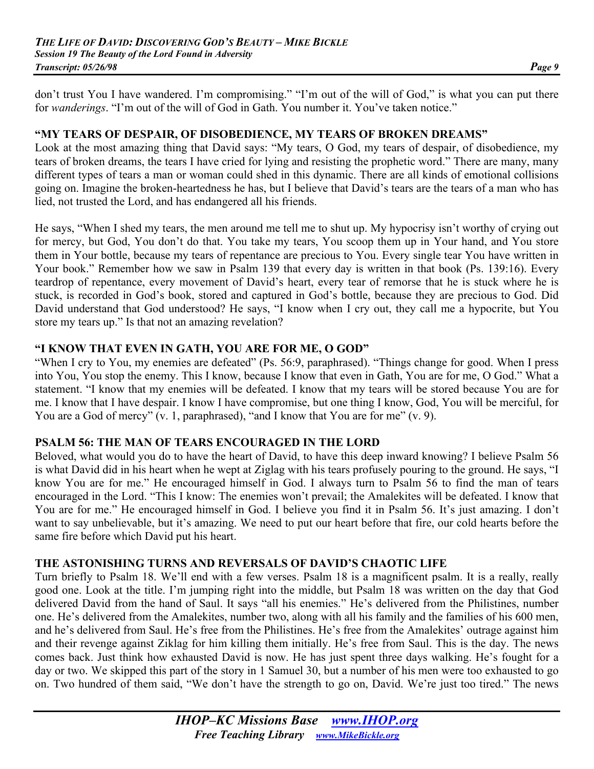don't trust You I have wandered. I'm compromising." "I'm out of the will of God," is what you can put there for *wanderings*. "I'm out of the will of God in Gath. You number it. You've taken notice."

#### **"MY TEARS OF DESPAIR, OF DISOBEDIENCE, MY TEARS OF BROKEN DREAMS"**

Look at the most amazing thing that David says: "My tears, O God, my tears of despair, of disobedience, my tears of broken dreams, the tears I have cried for lying and resisting the prophetic word." There are many, many different types of tears a man or woman could shed in this dynamic. There are all kinds of emotional collisions going on. Imagine the broken-heartedness he has, but I believe that David's tears are the tears of a man who has lied, not trusted the Lord, and has endangered all his friends.

He says, "When I shed my tears, the men around me tell me to shut up. My hypocrisy isn't worthy of crying out for mercy, but God, You don't do that. You take my tears, You scoop them up in Your hand, and You store them in Your bottle, because my tears of repentance are precious to You. Every single tear You have written in Your book." Remember how we saw in Psalm 139 that every day is written in that book (Ps. 139:16). Every teardrop of repentance, every movement of David's heart, every tear of remorse that he is stuck where he is stuck, is recorded in God's book, stored and captured in God's bottle, because they are precious to God. Did David understand that God understood? He says, "I know when I cry out, they call me a hypocrite, but You store my tears up." Is that not an amazing revelation?

## **"I KNOW THAT EVEN IN GATH, YOU ARE FOR ME, O GOD"**

"When I cry to You, my enemies are defeated" (Ps. 56:9, paraphrased). "Things change for good. When I press into You, You stop the enemy. This I know, because I know that even in Gath, You are for me, O God." What a statement. "I know that my enemies will be defeated. I know that my tears will be stored because You are for me. I know that I have despair. I know I have compromise, but one thing I know, God, You will be merciful, for You are a God of mercy" (v. 1, paraphrased), "and I know that You are for me" (v. 9).

## **PSALM 56: THE MAN OF TEARS ENCOURAGED IN THE LORD**

Beloved, what would you do to have the heart of David, to have this deep inward knowing? I believe Psalm 56 is what David did in his heart when he wept at Ziglag with his tears profusely pouring to the ground. He says, "I know You are for me." He encouraged himself in God. I always turn to Psalm 56 to find the man of tears encouraged in the Lord. "This I know: The enemies won't prevail; the Amalekites will be defeated. I know that You are for me." He encouraged himself in God. I believe you find it in Psalm 56. It's just amazing. I don't want to say unbelievable, but it's amazing. We need to put our heart before that fire, our cold hearts before the same fire before which David put his heart.

## **THE ASTONISHING TURNS AND REVERSALS OF DAVID'S CHAOTIC LIFE**

Turn briefly to Psalm 18. We'll end with a few verses. Psalm 18 is a magnificent psalm. It is a really, really good one. Look at the title. I'm jumping right into the middle, but Psalm 18 was written on the day that God delivered David from the hand of Saul. It says "all his enemies." He's delivered from the Philistines, number one. He's delivered from the Amalekites, number two, along with all his family and the families of his 600 men, and he's delivered from Saul. He's free from the Philistines. He's free from the Amalekites' outrage against him and their revenge against Ziklag for him killing them initially. He's free from Saul. This is the day. The news comes back. Just think how exhausted David is now. He has just spent three days walking. He's fought for a day or two. We skipped this part of the story in 1 Samuel 30, but a number of his men were too exhausted to go on. Two hundred of them said, "We don't have the strength to go on, David. We're just too tired." The news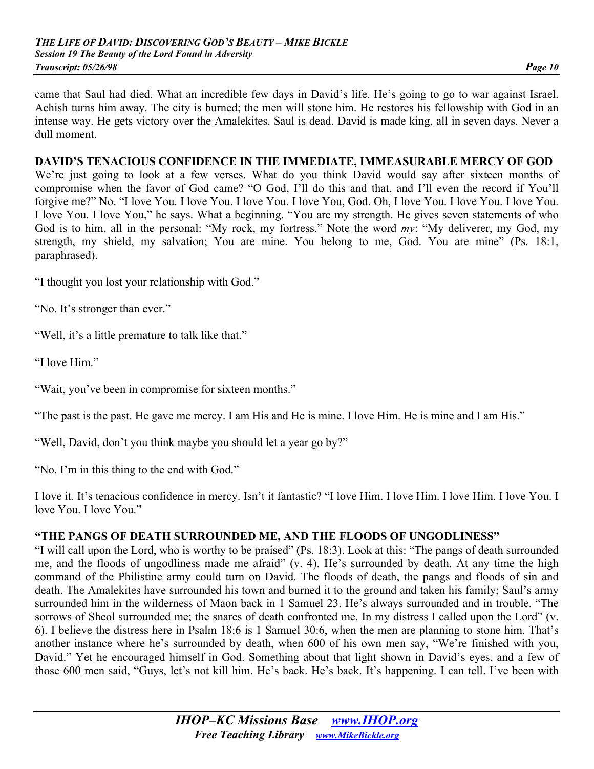came that Saul had died. What an incredible few days in David's life. He's going to go to war against Israel. Achish turns him away. The city is burned; the men will stone him. He restores his fellowship with God in an intense way. He gets victory over the Amalekites. Saul is dead. David is made king, all in seven days. Never a dull moment.

#### **DAVID'S TENACIOUS CONFIDENCE IN THE IMMEDIATE, IMMEASURABLE MERCY OF GOD**

We're just going to look at a few verses. What do you think David would say after sixteen months of compromise when the favor of God came? "O God, I'll do this and that, and I'll even the record if You'll forgive me?" No. "I love You. I love You. I love You. I love You, God. Oh, I love You. I love You. I love You. I love You. I love You," he says. What a beginning. "You are my strength. He gives seven statements of who God is to him, all in the personal: "My rock, my fortress." Note the word *my*: "My deliverer, my God, my strength, my shield, my salvation; You are mine. You belong to me, God. You are mine" (Ps. 18:1, paraphrased).

"I thought you lost your relationship with God."

"No. It's stronger than ever."

"Well, it's a little premature to talk like that."

"I love Him."

"Wait, you've been in compromise for sixteen months."

"The past is the past. He gave me mercy. I am His and He is mine. I love Him. He is mine and I am His."

"Well, David, don't you think maybe you should let a year go by?"

"No. I'm in this thing to the end with God."

I love it. It's tenacious confidence in mercy. Isn't it fantastic? "I love Him. I love Him. I love Him. I love You. I love You. I love You."

#### **"THE PANGS OF DEATH SURROUNDED ME, AND THE FLOODS OF UNGODLINESS"**

"I will call upon the Lord, who is worthy to be praised" (Ps. 18:3). Look at this: "The pangs of death surrounded me, and the floods of ungodliness made me afraid" (v. 4). He's surrounded by death. At any time the high command of the Philistine army could turn on David. The floods of death, the pangs and floods of sin and death. The Amalekites have surrounded his town and burned it to the ground and taken his family; Saul's army surrounded him in the wilderness of Maon back in 1 Samuel 23. He's always surrounded and in trouble. "The sorrows of Sheol surrounded me; the snares of death confronted me. In my distress I called upon the Lord" (v. 6). I believe the distress here in Psalm 18:6 is 1 Samuel 30:6, when the men are planning to stone him. That's another instance where he's surrounded by death, when 600 of his own men say, "We're finished with you, David." Yet he encouraged himself in God. Something about that light shown in David's eyes, and a few of those 600 men said, "Guys, let's not kill him. He's back. He's back. It's happening. I can tell. I've been with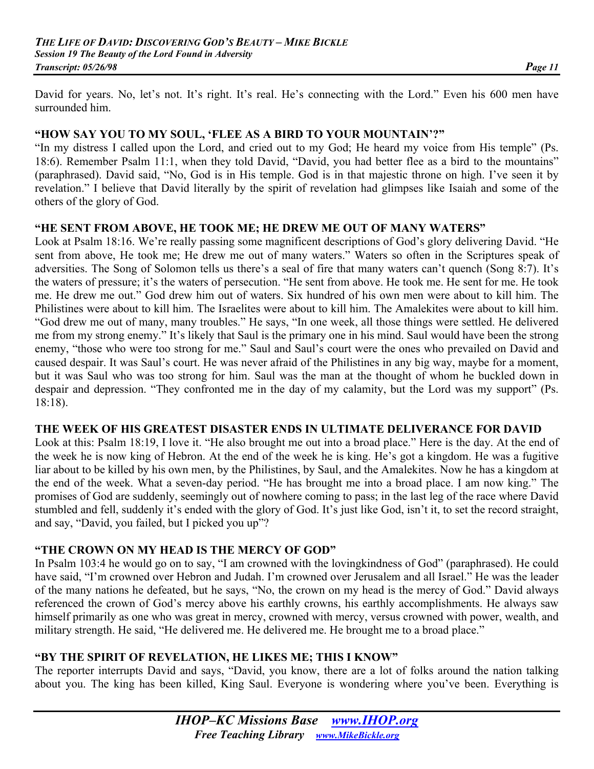David for years. No, let's not. It's right. It's real. He's connecting with the Lord." Even his 600 men have surrounded him.

## **"HOW SAY YOU TO MY SOUL, 'FLEE AS A BIRD TO YOUR MOUNTAIN'?"**

"In my distress I called upon the Lord, and cried out to my God; He heard my voice from His temple" (Ps. 18:6). Remember Psalm 11:1, when they told David, "David, you had better flee as a bird to the mountains" (paraphrased). David said, "No, God is in His temple. God is in that majestic throne on high. I've seen it by revelation." I believe that David literally by the spirit of revelation had glimpses like Isaiah and some of the others of the glory of God.

## **"HE SENT FROM ABOVE, HE TOOK ME; HE DREW ME OUT OF MANY WATERS"**

Look at Psalm 18:16. We're really passing some magnificent descriptions of God's glory delivering David. "He sent from above, He took me; He drew me out of many waters." Waters so often in the Scriptures speak of adversities. The Song of Solomon tells us there's a seal of fire that many waters can't quench (Song 8:7). It's the waters of pressure; it's the waters of persecution. "He sent from above. He took me. He sent for me. He took me. He drew me out." God drew him out of waters. Six hundred of his own men were about to kill him. The Philistines were about to kill him. The Israelites were about to kill him. The Amalekites were about to kill him. "God drew me out of many, many troubles." He says, "In one week, all those things were settled. He delivered me from my strong enemy." It's likely that Saul is the primary one in his mind. Saul would have been the strong enemy, "those who were too strong for me." Saul and Saul's court were the ones who prevailed on David and caused despair. It was Saul's court. He was never afraid of the Philistines in any big way, maybe for a moment, but it was Saul who was too strong for him. Saul was the man at the thought of whom he buckled down in despair and depression. "They confronted me in the day of my calamity, but the Lord was my support" (Ps. 18:18).

#### **THE WEEK OF HIS GREATEST DISASTER ENDS IN ULTIMATE DELIVERANCE FOR DAVID**

Look at this: Psalm 18:19, I love it. "He also brought me out into a broad place." Here is the day. At the end of the week he is now king of Hebron. At the end of the week he is king. He's got a kingdom. He was a fugitive liar about to be killed by his own men, by the Philistines, by Saul, and the Amalekites. Now he has a kingdom at the end of the week. What a seven-day period. "He has brought me into a broad place. I am now king." The promises of God are suddenly, seemingly out of nowhere coming to pass; in the last leg of the race where David stumbled and fell, suddenly it's ended with the glory of God. It's just like God, isn't it, to set the record straight, and say, "David, you failed, but I picked you up"?

## **"THE CROWN ON MY HEAD IS THE MERCY OF GOD"**

In Psalm 103:4 he would go on to say, "I am crowned with the lovingkindness of God" (paraphrased). He could have said, "I'm crowned over Hebron and Judah. I'm crowned over Jerusalem and all Israel." He was the leader of the many nations he defeated, but he says, "No, the crown on my head is the mercy of God." David always referenced the crown of God's mercy above his earthly crowns, his earthly accomplishments. He always saw himself primarily as one who was great in mercy, crowned with mercy, versus crowned with power, wealth, and military strength. He said, "He delivered me. He delivered me. He brought me to a broad place."

## **"BY THE SPIRIT OF REVELATION, HE LIKES ME; THIS I KNOW"**

The reporter interrupts David and says, "David, you know, there are a lot of folks around the nation talking about you. The king has been killed, King Saul. Everyone is wondering where you've been. Everything is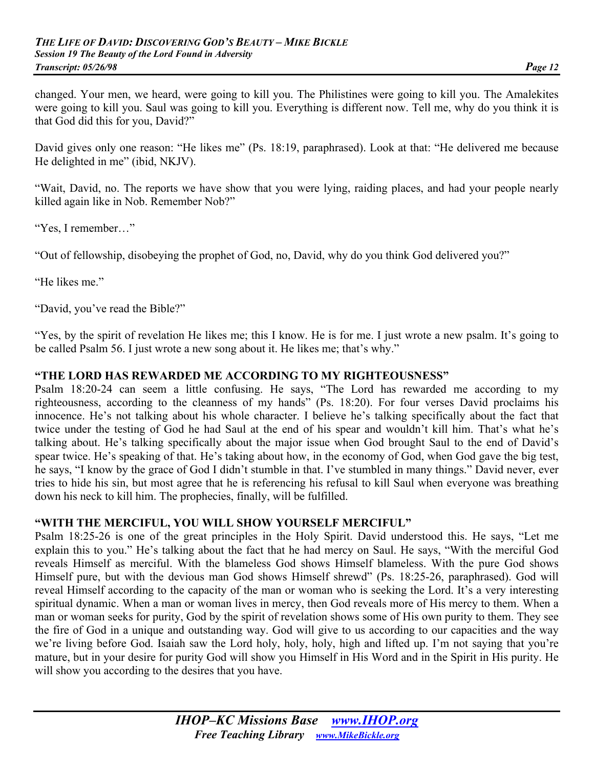changed. Your men, we heard, were going to kill you. The Philistines were going to kill you. The Amalekites were going to kill you. Saul was going to kill you. Everything is different now. Tell me, why do you think it is that God did this for you, David?"

David gives only one reason: "He likes me" (Ps. 18:19, paraphrased). Look at that: "He delivered me because He delighted in me" (ibid, NKJV).

"Wait, David, no. The reports we have show that you were lying, raiding places, and had your people nearly killed again like in Nob. Remember Nob?"

"Yes, I remember…"

"Out of fellowship, disobeying the prophet of God, no, David, why do you think God delivered you?"

"He likes me."

"David, you've read the Bible?"

"Yes, by the spirit of revelation He likes me; this I know. He is for me. I just wrote a new psalm. It's going to be called Psalm 56. I just wrote a new song about it. He likes me; that's why."

#### **"THE LORD HAS REWARDED ME ACCORDING TO MY RIGHTEOUSNESS"**

Psalm 18:20-24 can seem a little confusing. He says, "The Lord has rewarded me according to my righteousness, according to the cleanness of my hands" (Ps. 18:20). For four verses David proclaims his innocence. He's not talking about his whole character. I believe he's talking specifically about the fact that twice under the testing of God he had Saul at the end of his spear and wouldn't kill him. That's what he's talking about. He's talking specifically about the major issue when God brought Saul to the end of David's spear twice. He's speaking of that. He's taking about how, in the economy of God, when God gave the big test, he says, "I know by the grace of God I didn't stumble in that. I've stumbled in many things." David never, ever tries to hide his sin, but most agree that he is referencing his refusal to kill Saul when everyone was breathing down his neck to kill him. The prophecies, finally, will be fulfilled.

#### **"WITH THE MERCIFUL, YOU WILL SHOW YOURSELF MERCIFUL"**

Psalm 18:25-26 is one of the great principles in the Holy Spirit. David understood this. He says, "Let me explain this to you." He's talking about the fact that he had mercy on Saul. He says, "With the merciful God reveals Himself as merciful. With the blameless God shows Himself blameless. With the pure God shows Himself pure, but with the devious man God shows Himself shrewd" (Ps. 18:25-26, paraphrased). God will reveal Himself according to the capacity of the man or woman who is seeking the Lord. It's a very interesting spiritual dynamic. When a man or woman lives in mercy, then God reveals more of His mercy to them. When a man or woman seeks for purity, God by the spirit of revelation shows some of His own purity to them. They see the fire of God in a unique and outstanding way. God will give to us according to our capacities and the way we're living before God. Isaiah saw the Lord holy, holy, holy, high and lifted up. I'm not saying that you're mature, but in your desire for purity God will show you Himself in His Word and in the Spirit in His purity. He will show you according to the desires that you have.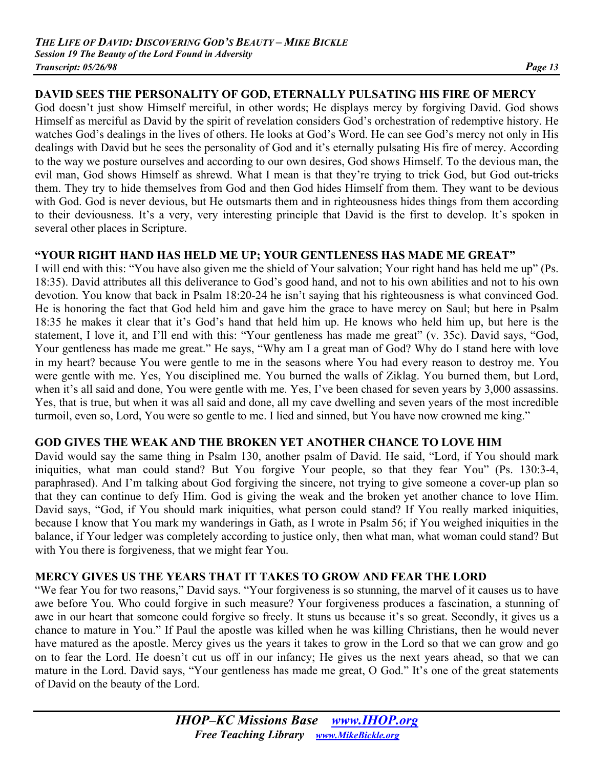## **DAVID SEES THE PERSONALITY OF GOD, ETERNALLY PULSATING HIS FIRE OF MERCY**

God doesn't just show Himself merciful, in other words; He displays mercy by forgiving David. God shows Himself as merciful as David by the spirit of revelation considers God's orchestration of redemptive history. He watches God's dealings in the lives of others. He looks at God's Word. He can see God's mercy not only in His dealings with David but he sees the personality of God and it's eternally pulsating His fire of mercy. According to the way we posture ourselves and according to our own desires, God shows Himself. To the devious man, the evil man, God shows Himself as shrewd. What I mean is that they're trying to trick God, but God out-tricks them. They try to hide themselves from God and then God hides Himself from them. They want to be devious with God. God is never devious, but He outsmarts them and in righteousness hides things from them according to their deviousness. It's a very, very interesting principle that David is the first to develop. It's spoken in several other places in Scripture.

#### **"YOUR RIGHT HAND HAS HELD ME UP; YOUR GENTLENESS HAS MADE ME GREAT"**

I will end with this: "You have also given me the shield of Your salvation; Your right hand has held me up" (Ps. 18:35). David attributes all this deliverance to God's good hand, and not to his own abilities and not to his own devotion. You know that back in Psalm 18:20-24 he isn't saying that his righteousness is what convinced God. He is honoring the fact that God held him and gave him the grace to have mercy on Saul; but here in Psalm 18:35 he makes it clear that it's God's hand that held him up. He knows who held him up, but here is the statement, I love it, and I'll end with this: "Your gentleness has made me great" (v. 35c). David says, "God, Your gentleness has made me great." He says, "Why am I a great man of God? Why do I stand here with love in my heart? because You were gentle to me in the seasons where You had every reason to destroy me. You were gentle with me. Yes, You disciplined me. You burned the walls of Ziklag. You burned them, but Lord, when it's all said and done, You were gentle with me. Yes, I've been chased for seven years by 3,000 assassins. Yes, that is true, but when it was all said and done, all my cave dwelling and seven years of the most incredible turmoil, even so, Lord, You were so gentle to me. I lied and sinned, but You have now crowned me king."

#### **GOD GIVES THE WEAK AND THE BROKEN YET ANOTHER CHANCE TO LOVE HIM**

David would say the same thing in Psalm 130, another psalm of David. He said, "Lord, if You should mark iniquities, what man could stand? But You forgive Your people, so that they fear You" (Ps. 130:3-4, paraphrased). And I'm talking about God forgiving the sincere, not trying to give someone a cover-up plan so that they can continue to defy Him. God is giving the weak and the broken yet another chance to love Him. David says, "God, if You should mark iniquities, what person could stand? If You really marked iniquities, because I know that You mark my wanderings in Gath, as I wrote in Psalm 56; if You weighed iniquities in the balance, if Your ledger was completely according to justice only, then what man, what woman could stand? But with You there is forgiveness, that we might fear You.

#### **MERCY GIVES US THE YEARS THAT IT TAKES TO GROW AND FEAR THE LORD**

"We fear You for two reasons," David says. "Your forgiveness is so stunning, the marvel of it causes us to have awe before You. Who could forgive in such measure? Your forgiveness produces a fascination, a stunning of awe in our heart that someone could forgive so freely. It stuns us because it's so great. Secondly, it gives us a chance to mature in You." If Paul the apostle was killed when he was killing Christians, then he would never have matured as the apostle. Mercy gives us the years it takes to grow in the Lord so that we can grow and go on to fear the Lord. He doesn't cut us off in our infancy; He gives us the next years ahead, so that we can mature in the Lord. David says, "Your gentleness has made me great, O God." It's one of the great statements of David on the beauty of the Lord.